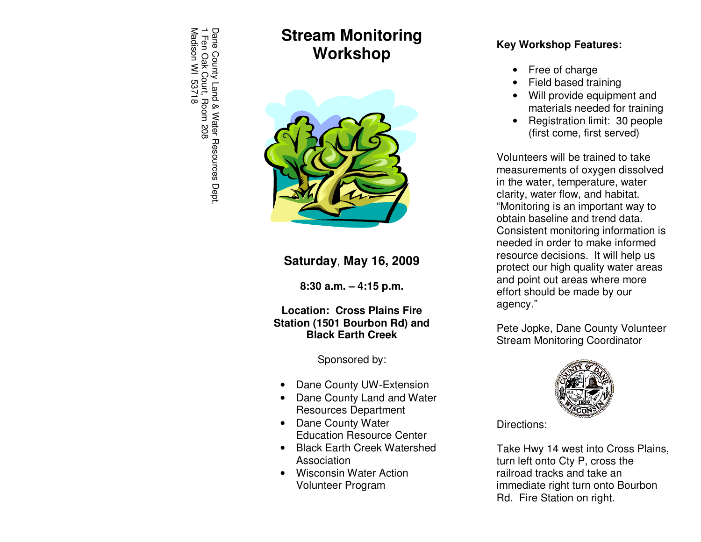Madison WI 53718 1 Fen Oak Court, Room 208 Dane County Land & Water Resources Dept.

# **Workshop**



### **Saturday**, **May 16, 2009**

**8:30 a.m. – 4:15 p.m.** 

#### **Location: Cross Plains Fire Station (1501 Bourbon Rd) and Black Earth Creek**

Sponsored by:

- Dane County UW-Extension
- Dane County Land and Water Resources Department
- Dane County Water Education Resource Center
- Black Earth Creek Watershed Association
- Wisconsin Water Action Volunteer Program

#### **Key Workshop Features:**

- Free of charge
- Field based training
- Will provide equipment and materials needed for training
- Registration limit: 30 people (first come, first served)

Volunteers will be trained to take measurements of oxygen dissolved in the water, temperature, water clarity, water flow, and habitat. "Monitoring is an important way to obtain baseline and trend data. Consistent monitoring information is needed in order to make informed resource decisions. It will help us protect our high quality water areas and point out areas where more effort should be made by our agency."

Pete Jopke, Dane County Volunteer Stream Monitoring Coordinator



Directions:

Take Hwy 14 west into Cross Plains, turn left onto Cty P, cross the railroad tracks and take an immediate right turn onto Bourbon Rd. Fire Station on right.